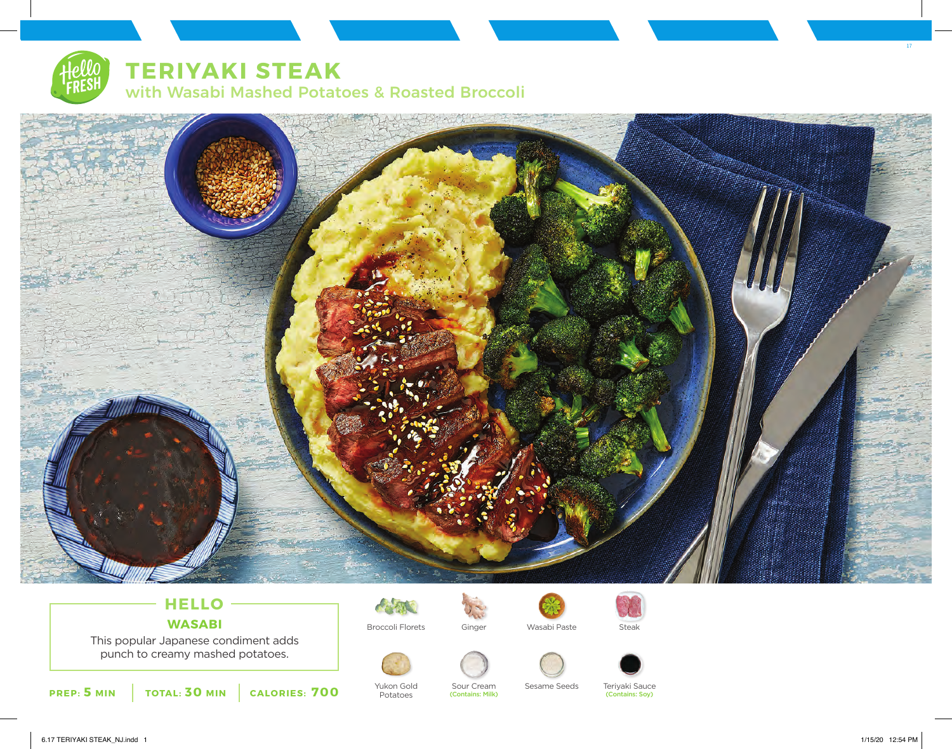# **TERIYAKI STEAK**

with Wasabi Mashed Potatoes & Roasted Broccoli



## **HELLO WASABI**

This popular Japanese condiment adds punch to creamy mashed potatoes.



Yukon Gold Potatoes



(Contains: Milk)



Sour Cream Sesame Seeds







Teriyaki Sauce

(Contains: Soy)



6.17 TERIYAKI STEAK\_NJ.indd 1 1/15/20 12:54 PM

17